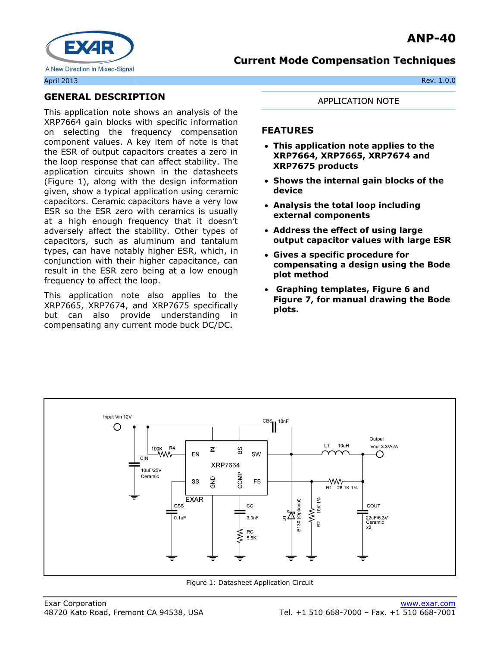

## /13 **GENERAL DESCRIPTION**

This application note shows an analysis of the XRP7664 gain blocks with specific information on selecting the frequency compensation component values. A key item of note is that the ESR of output capacitors creates a zero in the loop response that can affect stability. The application circuits shown in the datasheets (Figure 1), along with the design information given, show a typical application using ceramic capacitors. Ceramic capacitors have a very low ESR so the ESR zero with ceramics is usually at a high enough frequency that it doesn't adversely affect the stability. Other types of capacitors, such as aluminum and tantalum types, can have notably higher ESR, which, in conjunction with their higher capacitance, can result in the ESR zero being at a low enough frequency to affect the loop.

This application note also applies to the XRP7665, XRP7674, and XRP7675 specifically but can also provide understanding in compensating any current mode buck DC/DC.

#### APPLICATION NOTE

### **FEATURES**

- **This application note applies to the XRP7664, XRP7665, XRP7674 and XRP7675 products**
- **Shows the internal gain blocks of the device**
- **Analysis the total loop including external components**
- **Address the effect of using large output capacitor values with large ESR**
- **Gives a specific procedure for compensating a design using the Bode plot method**
- **Graphing templates, [Figure 6](#page-6-0) and [Figure 7,](#page-6-1) for manual drawing the Bode plots.**



Figure 1: Datasheet Application Circuit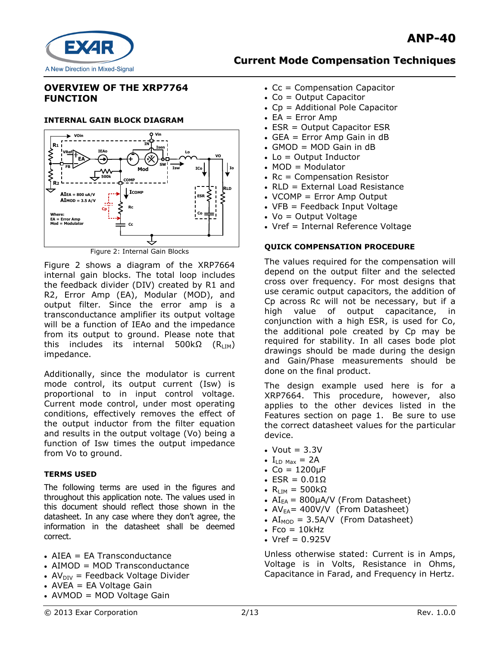

## **OVERVIEW OF THE XRP7764 FUNCTION**

#### **INTERNAL GAIN BLOCK DIAGRAM**



Figure 2 shows a diagram of the XRP7664 internal gain blocks. The total loop includes the feedback divider (DIV) created by R1 and R2, Error Amp (EA), Modular (MOD), and output filter. Since the error amp is a transconductance amplifier its output voltage will be a function of IEAo and the impedance from its output to ground. Please note that this includes its internal 500kΩ  $(R<sub>LM</sub>)$ impedance.

Additionally, since the modulator is current mode control, its output current (Isw) is proportional to in input control voltage. Current mode control, under most operating conditions, effectively removes the effect of the output inductor from the filter equation and results in the output voltage (Vo) being a function of Isw times the output impedance from Vo to ground.

### **TERMS USED**

The following terms are used in the figures and throughout this application note. The values used in this document should reflect those shown in the datasheet. In any case where they don't agree, the information in the datasheet shall be deemed correct.

- AIEA = EA Transconductance
- AIMOD = MOD Transconductance
- $AV<sub>DIV</sub>$  = Feedback Voltage Divider
- $\bullet$  AVEA = EA Voltage Gain
- AVMOD = MOD Voltage Gain
- $\cdot$  Cc = Compensation Capacitor
- $\bullet$  Co = Output Capacitor
- Cp = Additional Pole Capacitor
- $\bullet$  EA = Error Amp
- ESR = Output Capacitor ESR
- GEA = Error Amp Gain in dB
- GMOD = MOD Gain in dB
- $\bullet$  Lo = Output Inductor
- $\bullet$  MOD = Modulator
- Rc = Compensation Resistor
- RLD = External Load Resistance
- VCOMP = Error Amp Output
- VFB = Feedback Input Voltage
- $\bullet$  Vo = Output Voltage
- Vref = Internal Reference Voltage

#### **QUICK COMPENSATION PROCEDURE**

The values required for the compensation will depend on the output filter and the selected cross over frequency. For most designs that use ceramic output capacitors, the addition of Cp across Rc will not be necessary, but if a high value of output capacitance, in conjunction with a high ESR, is used for Co, the additional pole created by Cp may be required for stability. In all cases bode plot drawings should be made during the design and Gain/Phase measurements should be done on the final product.

The design example used here is for a XRP7664. This procedure, however, also applies to the other devices listed in the Features section on page 1. Be sure to use the correct datasheet values for the particular device.

- Vout  $= 3.3V$
- $I_{ID \text{ Max}} = 2A$
- $\text{CO} = 1200 \mu F$
- $\cdot$  ESR = 0.01 $\Omega$
- $\cdot$  R<sub>LIM</sub> = 500kΩ
- $AI_{EA}$  = 800µA/V (From Datasheet)
- $AV_{EA}$ = 400V/V (From Datasheet)
- $AI<sub>MOD</sub> = 3.5A/V$  (From Datasheet)
- $\text{Fco} = 10 \text{kHz}$
- $\cdot$  Vref = 0.925V

Unless otherwise stated: Current is in Amps, Voltage is in Volts, Resistance in Ohms, Capacitance in Farad, and Frequency in Hertz.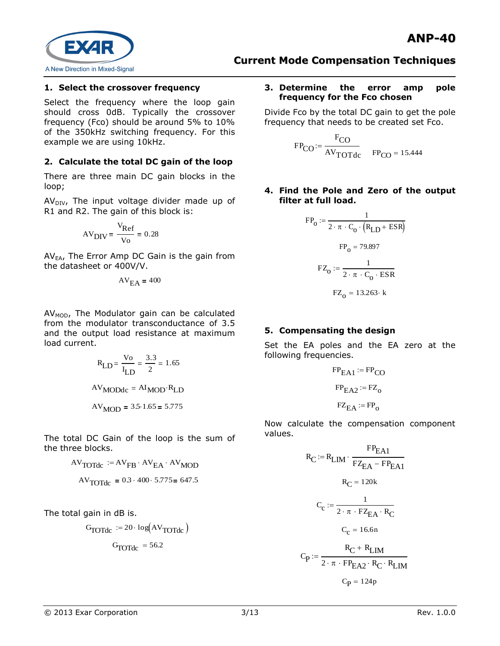

### **1. Select the crossover frequency**

Select the frequency where the loop gain should cross 0dB. Typically the crossover frequency (Fco) should be around 5% to 10% of the 350kHz switching frequency. For this example we are using 10kHz.

### **2. Calculate the total DC gain of the loop**

There are three main DC gain blocks in the loop;

 $AV_{DIV}$ , The input voltage divider made up of R1 and R2. The gain of this block is:

$$
AV_{DIV} = \frac{V_{Ref}}{V_0} = 0.28
$$

 $AV_{EA}$ , The Error Amp DC Gain is the gain from the datasheet or 400V/V.

$$
AV_{EA} = 400
$$

 $AV<sub>MOD</sub>$ , The Modulator gain can be calculated from the modulator transconductance of 3.5 and the output load resistance at maximum load current.

$$
R_{LD} = \frac{V_0}{I_{LD}} = \frac{3.3}{2} = 1.65
$$
  
AV<sub>MODdc</sub> = AI<sub>MOD</sub>·R<sub>LD</sub>  
AV<sub>MOD</sub> = 3.5·1.65 = 5.775

The total DC Gain of the loop is the sum of the three blocks.

$$
AV_{\text{TOTdc}} := AV_{\text{FB}} \cdot AV_{\text{EA}} \cdot AV_{\text{MOD}}
$$

$$
AV_{\text{TOTdc}} = 0.3 \cdot 400 \cdot 5.775 = 647.5
$$

The total gain in dB is.

$$
G_{\text{TOTdc}} := 20 \cdot \log(\text{AV}_{\text{TOTdc}})
$$

$$
G_{\text{TOTdc}} = 56.2
$$

#### **3. Determine the error amp pole frequency for the Fco chosen**

Divide Fco by the total DC gain to get the pole frequency that needs to be created set Fco.

$$
FP_{CO} := \frac{F_{CO}}{AV_{TOTdc}} \qquad FP_{CO} = 15.444
$$

#### **4. Find the Pole and Zero of the output filter at full load.**

$$
FP_0 := \frac{1}{2 \cdot \pi \cdot C_0 \cdot (R_{LD} + ESR)}
$$

$$
FP_0 = 79.897
$$

$$
FZ_0 := \frac{1}{2 \cdot \pi \cdot C_0 \cdot ESR}
$$

$$
FZ_0 = 13.263 \cdot k
$$

### **5. Compensating the design**

Set the EA poles and the EA zero at the following frequencies.

$$
FPEA1 := FPCO
$$

$$
FPEA2 := FZ0
$$

$$
FZEA := FP0
$$

Now calculate the compensation component values.

$$
R_C := R_{LIM} \cdot \frac{FP_{EA1}}{FZ_{EA} - FP_{EA1}}
$$

$$
R_C = 120k
$$

$$
C_c := \frac{1}{2 \cdot \pi \cdot FZ_{EA} \cdot R_C}
$$

$$
C_c = 16.6n
$$

$$
C_P := \frac{R_C + R_{LIM}}{2 \cdot \pi \cdot FP_{EA2} \cdot R_C \cdot R_{LIM}}
$$

$$
C_P = 124p
$$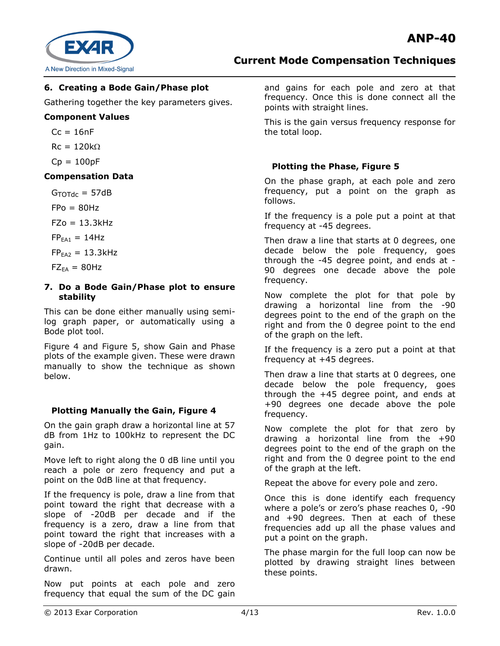

## **6. Creating a Bode Gain/Phase plot**

Gathering together the key parameters gives.

### **Component Values**

 $Cc = 16nF$ 

 $Rc = 120k\Omega$ 

 $Cp = 100pF$ 

### **Compensation Data**

 $G_{\text{TOTdc}} = 57dB$ 

 $FPo = 80Hz$ 

 $FZo = 13.3kHz$ 

 $FP<sub>EAI</sub> = 14Hz$ 

 $FP<sub>EA2</sub> = 13.3kHz$ 

 $FZ_{EA} = 80Hz$ 

#### **7. Do a Bode Gain/Phase plot to ensure stability**

This can be done either manually using semilog graph paper, or automatically using a Bode plot tool.

[Figure 4](#page-5-0) and [Figure 5,](#page-5-1) show Gain and Phase plots of the example given. These were drawn manually to show the technique as shown below.

## **Plotting Manually the Gain, [Figure 4](#page-5-0)**

On the gain graph draw a horizontal line at 57 dB from 1Hz to 100kHz to represent the DC gain.

Move left to right along the 0 dB line until you reach a pole or zero frequency and put a point on the 0dB line at that frequency.

If the frequency is pole, draw a line from that point toward the right that decrease with a slope of -20dB per decade and if the frequency is a zero, draw a line from that point toward the right that increases with a slope of -20dB per decade.

Continue until all poles and zeros have been drawn.

Now put points at each pole and zero frequency that equal the sum of the DC gain

and gains for each pole and zero at that frequency. Once this is done connect all the points with straight lines.

This is the gain versus frequency response for the total loop.

## **Plotting the Phase, [Figure 5](#page-5-1)**

On the phase graph, at each pole and zero frequency, put a point on the graph as follows.

If the frequency is a pole put a point at that frequency at -45 degrees.

Then draw a line that starts at 0 degrees, one decade below the pole frequency, goes through the -45 degree point, and ends at - 90 degrees one decade above the pole frequency.

Now complete the plot for that pole by drawing a horizontal line from the -90 degrees point to the end of the graph on the right and from the 0 degree point to the end of the graph on the left.

If the frequency is a zero put a point at that frequency at +45 degrees.

Then draw a line that starts at 0 degrees, one decade below the pole frequency, goes through the +45 degree point, and ends at +90 degrees one decade above the pole frequency.

Now complete the plot for that zero by drawing a horizontal line from the +90 degrees point to the end of the graph on the right and from the 0 degree point to the end of the graph at the left.

Repeat the above for every pole and zero.

Once this is done identify each frequency where a pole's or zero's phase reaches 0, -90 and +90 degrees. Then at each of these frequencies add up all the phase values and put a point on the graph.

The phase margin for the full loop can now be plotted by drawing straight lines between these points.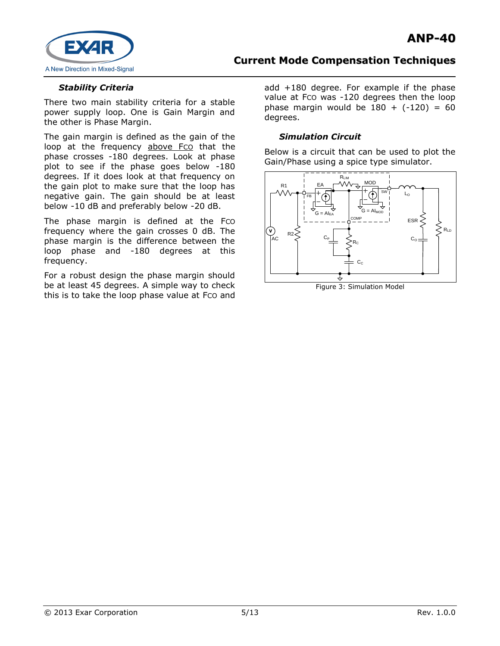

### *Stability Criteria*

There two main stability criteria for a stable power supply loop. One is Gain Margin and the other is Phase Margin.

The gain margin is defined as the gain of the loop at the frequency above Fco that the phase crosses -180 degrees. Look at phase plot to see if the phase goes below -180 degrees. If it does look at that frequency on the gain plot to make sure that the loop has negative gain. The gain should be at least below -10 dB and preferably below -20 dB.

The phase margin is defined at the Fco frequency where the gain crosses 0 dB. The phase margin is the difference between the loop phase and -180 degrees at this frequency.

For a robust design the phase margin should be at least 45 degrees. A simple way to check this is to take the loop phase value at Fco and add +180 degree. For example if the phase value at Fco was -120 degrees then the loop phase margin would be  $180 + (-120) = 60$ degrees.

### *Simulation Circuit*

Below is a circuit that can be used to plot the Gain/Phase using a spice type simulator.



Figure 3: Simulation Model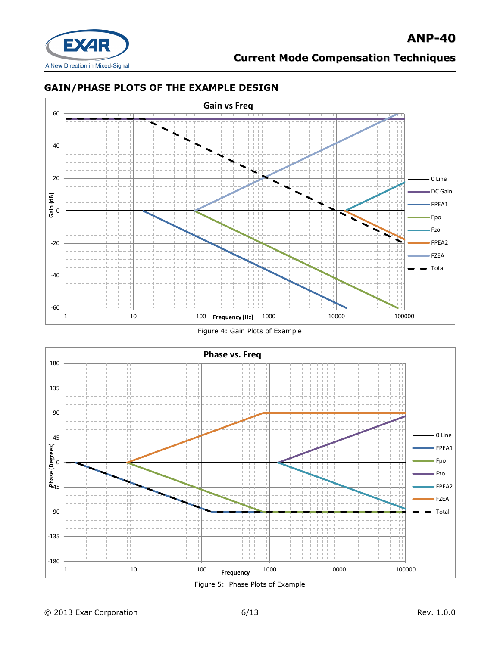

## **GAIN/PHASE PLOTS OF THE EXAMPLE DESIGN**



Figure 4: Gain Plots of Example

<span id="page-5-0"></span>

<span id="page-5-1"></span>Figure 5: Phase Plots of Example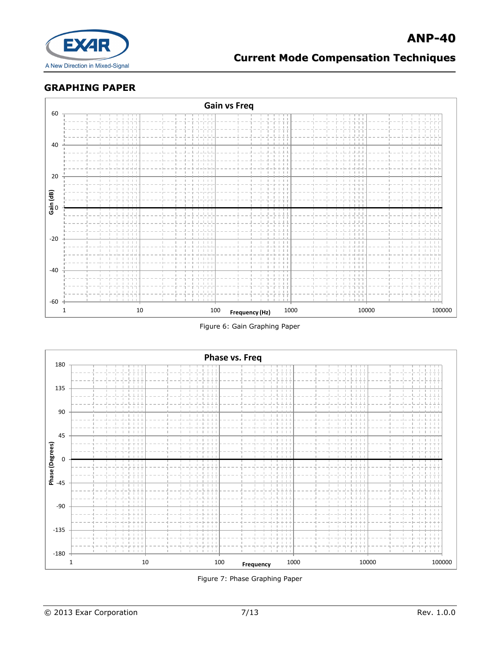

## **GRAPHING PAPER**



Figure 6: Gain Graphing Paper

<span id="page-6-0"></span>

<span id="page-6-1"></span>Figure 7: Phase Graphing Paper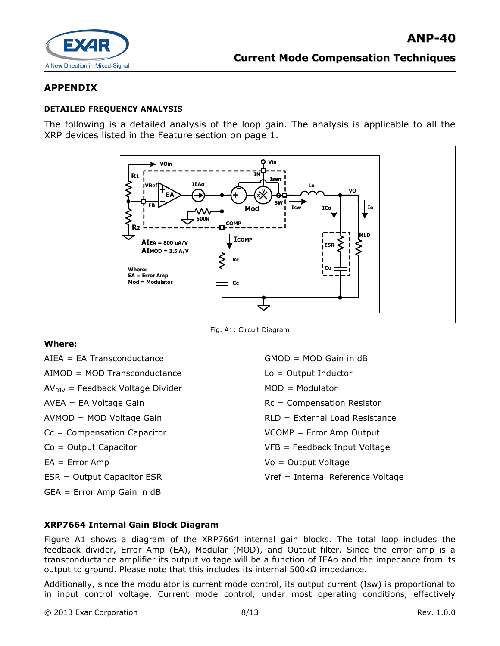

## **APPENDIX**

#### **DETAILED FREQUENCY ANALYSIS**

The following is a detailed analysis of the loop gain. The analysis is applicable to all the XRP devices listed in the Feature section on page 1.



Fig. A1: Circuit Diagram

### **Where:**

AIEA = EA Transconductance AIMOD = MOD Transconductance  $AV<sub>DIV</sub>$  = Feedback Voltage Divider AVEA = EA Voltage Gain AVMOD = MOD Voltage Gain Cc = Compensation Capacitor Co = Output Capacitor EA = Error Amp ESR = Output Capacitor ESR GEA = Error Amp Gain in dB

GMOD = MOD Gain in dB Lo = Output Inductor MOD = Modulator Rc = Compensation Resistor RLD = External Load Resistance VCOMP = Error Amp Output VFB = Feedback Input Voltage Vo = Output Voltage Vref = Internal Reference Voltage

### **XRP7664 Internal Gain Block Diagram**

Figure A1 shows a diagram of the XRP7664 internal gain blocks. The total loop includes the feedback divider, Error Amp (EA), Modular (MOD), and Output filter. Since the error amp is a transconductance amplifier its output voltage will be a function of IEAo and the impedance from its output to ground. Please note that this includes its internal 500kΩ impedance.

Additionally, since the modulator is current mode control, its output current (Isw) is proportional to in input control voltage. Current mode control, under most operating conditions, effectively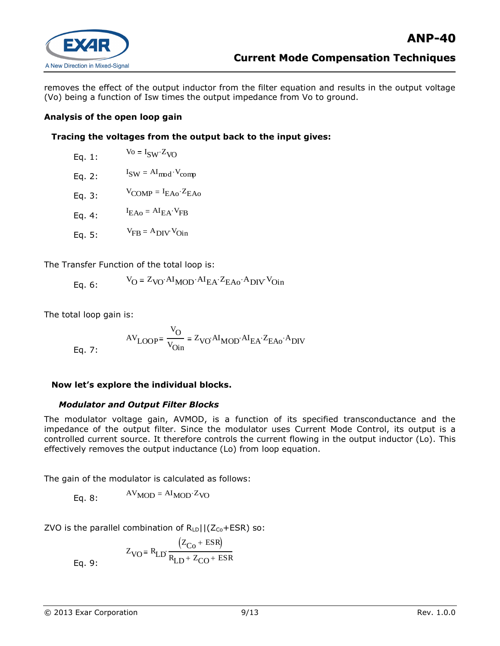

removes the effect of the output inductor from the filter equation and results in the output voltage (Vo) being a function of Isw times the output impedance from Vo to ground.

### **Analysis of the open loop gain**

### **Tracing the voltages from the output back to the input gives:**

| Eq. $1:$ | $V_0 = I_{SW} Z_{V}$                                    |
|----------|---------------------------------------------------------|
| Eq. $2:$ | $I_{SW} = AI_{mod} \cdot V_{comp}$                      |
| Eq. $3:$ | $V_{\text{COMP}} = I_{\text{EAo}} \cdot Z_{\text{EAo}}$ |
| Eq. 4:   | $I_{EAO} = AI_{EA} \cdot V_{FB}$                        |

Eq. 5:  $V_{FB} = A_{DIV} V_{Oin}$ 

The Transfer Function of the total loop is:

Eq. 6:  $V_{\rm O} = Z_{\rm VO} A I_{\rm MOD} A I_{\rm EA} Z_{\rm EAO} A_{\rm DIV} V_{\rm On}$ 

The total loop gain is:

$$
AV_{LOOP} = \frac{V_O}{V_{Oin}} = Z_{VO} A I_{MOD} A I_{EA} Z_{EAO} A_{DIV}
$$
 Eq. 7:

### **Now let's explore the individual blocks.**

#### *Modulator and Output Filter Blocks*

The modulator voltage gain, AVMOD, is a function of its specified transconductance and the impedance of the output filter. Since the modulator uses Current Mode Control, its output is a controlled current source. It therefore controls the current flowing in the output inductor (Lo). This effectively removes the output inductance (Lo) from loop equation.

The gain of the modulator is calculated as follows:

Eq. 8:  $AV<sub>MOD</sub> = AI<sub>MOD</sub>·Z<sub>VO</sub>$ 

ZVO is the parallel combination of  $R_{LD}$ ||(Z<sub>Co</sub>+ESR) so:

Eq. 9:  $Z_{\text{VO}}$  =  $R_{\text{LD}}$  $(Z_{\text{Co}} + \text{ESR})$  $R_{LD}$  +  $Z_{CO}$  + ESR ŕ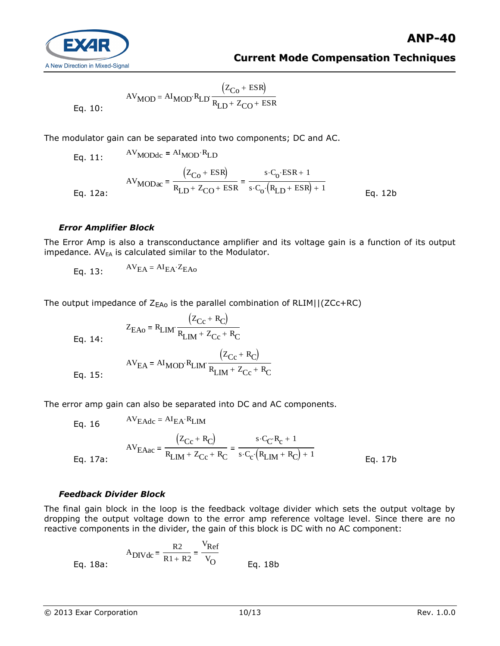

$$
AV_{MOD} = AI_{MOD} \cdot R_{LD} \frac{(Z_{Co} + ESR)}{R_{LD} + Z_{CO} + ESR}
$$

Eq. 10

The modulator gain can be separated into two components; DC and AC.

Eq. 11:  $AV_{MODdc} = AI_{MOD} \cdot R_{LD}$ Eq. 12a: AV<sub>MODac</sub>  $(Z_{\text{Co}} + \text{ESR})$  $R_{LD}$  +  $Z_{CO}$  + ESR  $s \cdot C_0 \cdot ESR + 1$  $s \cdot C_0 \cdot (R_{LD} + ESR) + 1$ Eq. 12b

### *Error Amplifier Block*

The Error Amp is also a transconductance amplifier and its voltage gain is a function of its output impedance.  $AV_{EA}$  is calculated similar to the Modulator.

$$
AV_{EA} = AI_{EA} \cdot Z_{EAo}
$$

The output impedance of  $Z_{EAO}$  is the parallel combination of RLIM||(ZCc+RC)

Eq. 14:

$$
Z_{\text{EAo}} = R_{\text{LIM}} \cdot \frac{(Z_{\text{Cc}} + R_{\text{C}})}{R_{\text{LIM}} + Z_{\text{Cc}} + R_{\text{C}}}
$$
  
AV<sub>EA</sub> = AI<sub>MOD</sub>  $R_{\text{LIM}} \cdot \frac{(Z_{\text{Cc}} + R_{\text{C}})}{R_{\text{LIM}} + Z_{\text{Cc}} + R_{\text{C}}}$ 

Eq. 15:

The error amp gain can also be separated into DC and AC components.

Eq. 16  $AV_{EAdc} = AI_{EA} \cdot R_{LIM}$ Eq. 17a: AVEAac  $(Z_{\text{Cc}} + R_{\text{C}})$  $R_{\text{LIM}} + Z_{\text{Cc}} + R_{\text{C}}$  $s \cdot C_{\mathbf{C}} R_{\mathbf{c}} + 1$  $s \cdot C_c \cdot (R_{LIM} + R_C) + 1$ Eq. 17b

### *Feedback Divider Block*

The final gain block in the loop is the feedback voltage divider which sets the output voltage by dropping the output voltage down to the error amp reference voltage level. Since there are no reactive components in the divider, the gain of this block is DC with no AC component:

Eq. 18a: 
$$
A_{\text{DIVdc}} = \frac{R2}{R1 + R2} = \frac{V_{\text{Ref}}}{V_{\text{O}}} = \frac{V_{\text{Ref}}}{V_{\text{O}}} = \frac{V_{\text{Ref}}}{V_{\text{O}}} = \frac{V_{\text{eq}}}{V_{\text{eq}}} = \frac{V_{\text{ref}}}{V_{\text{eq}}} = \frac{V_{\text{ref}}}{V_{\text{eq}}} = \frac{V_{\text{ref}}}{V_{\text{eq}}} = \frac{V_{\text{ref}}}{V_{\text{eq}}} = \frac{V_{\text{ref}}}{V_{\text{eq}}} = \frac{V_{\text{ref}}}{V_{\text{eq}}} = \frac{V_{\text{ref}}}{V_{\text{eq}}} = \frac{V_{\text{ref}}}{V_{\text{eq}}} = \frac{V_{\text{ref}}}{V_{\text{eq}}} = \frac{V_{\text{ref}}}{V_{\text{eq}}} = \frac{V_{\text{ref}}}{V_{\text{eq}}} = \frac{V_{\text{ref}}}{V_{\text{eq}}} = \frac{V_{\text{ref}}}{V_{\text{eq}}} = \frac{V_{\text{ref}}}{V_{\text{eq}}} = \frac{V_{\text{ref}}}{V_{\text{eq}}} = \frac{V_{\text{ref}}}{V_{\text{eq}}} = \frac{V_{\text{ref}}}{V_{\text{eq}}} = \frac{V_{\text{ref}}}{V_{\text{eq}}} = \frac{V_{\text{ref}}}{V_{\text{eq}}} = \frac{V_{\text{ref}}}{V_{\text{eq}}} = \frac{V_{\text{ref}}}{V_{\text{eq}}} = \frac{V_{\text{ref}}}{V_{\text{eq}}} = \frac{V_{\text{ref}}}{V_{\text{eq}}} = \frac{V_{\text{ref}}}{V_{\text{eq}}} = \frac{V_{\text{ref}}}{V_{\text{eq}}} = \frac{V_{\text{ref}}}{V_{\text{eq}}} = \frac{V_{\text{ref}}}{V_{\text{eq}}} = \frac{V_{\text{ref}}}{V_{\text{eq}}} = \frac{V_{\text{ref}}}{V_{\text{eq}}} = \frac{V_{\text{ref}}}{V_{\text{eq}}} = \frac{V_{\text{ref}}}{V_{\text{eq}}} = \frac{V_{\text{ref}}}{V_{\text{eq}}} = \frac{V_{\text{ref}}}{V_{\text{eq}}} = \frac{V_{\text{ref}}}{V_{\text{eq}}} = \frac{V_{\text{
$$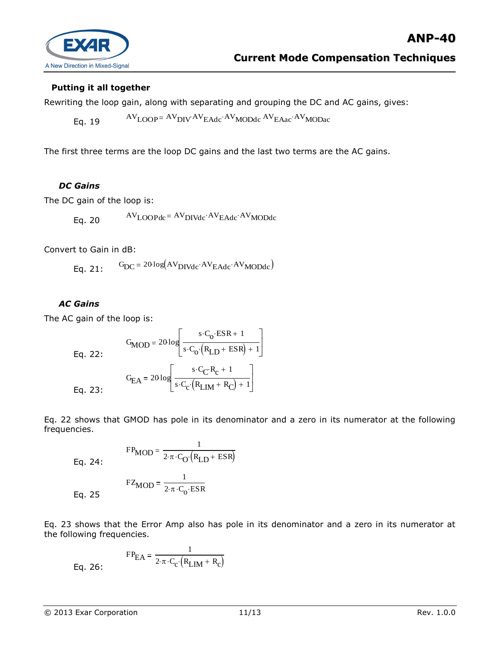

### **Putting it all together**

Rewriting the loop gain, along with separating and grouping the DC and AC gains, gives:

Eq. 19  $AV_{\text{LOOP}} = AV_{\text{DIV}} AV_{\text{EAdc}} \cdot AV_{\text{MODdc}} AV_{\text{EAac}} \cdot AV_{\text{MODac}}$ 

The first three terms are the loop DC gains and the last two terms are the AC gains.

### *DC Gains*

The DC gain of the loop is:

Eq. 20  $AV_{LOOPdc} = AV_{DIVdc} \cdot AV_{EAdc} \cdot AV_{MODdc}$ 

Convert to Gain in dB:

Eq. 21:  $G_{DC} = 20 log(AV_{DIVdc} \cdot AV_{EAdc} \cdot AV_{MODdc})$ 

### *AC Gains*

The AC gain of the loop is:

Eq. 22:  
\n
$$
G_{\text{MOD}} = 20 \log \left[ \frac{s \cdot C_{\text{o}} \cdot \text{ESR} + 1}{s \cdot C_{\text{o}} \cdot (R_{\text{LD}} + \text{ESR}) + 1} \right]
$$
\n
$$
G_{\text{EA}} = 20 \log \left[ \frac{s \cdot C_{\text{C}} \cdot R_{\text{c}} + 1}{s \cdot C_{\text{c}} \cdot (R_{\text{LM}} + R_{\text{C}}) + 1} \right]
$$

Eq. 22 shows that GMOD has pole in its denominator and a zero in its numerator at the following frequencies.

$$
Eq. 24:
$$

Eq. 24:  
\n
$$
F_{MOD} = \frac{1}{2 \cdot \pi \cdot C_{O} (R_{LD} + ESR)}
$$
\n
$$
F_{MOD} = \frac{1}{2 \cdot \pi \cdot C_{O} \cdot ESR}
$$
\nEq. 25

1

 $\mathbf{E}$ 

Eq. 23 shows that the Error Amp also has pole in its denominator and a zero in its numerator at the following frequencies.

Eq. 26: 
$$
FP_{EA} = \frac{1}{2 \cdot \pi \cdot C_{C} \cdot (R_{LIM} + R_{C})}
$$

Eq.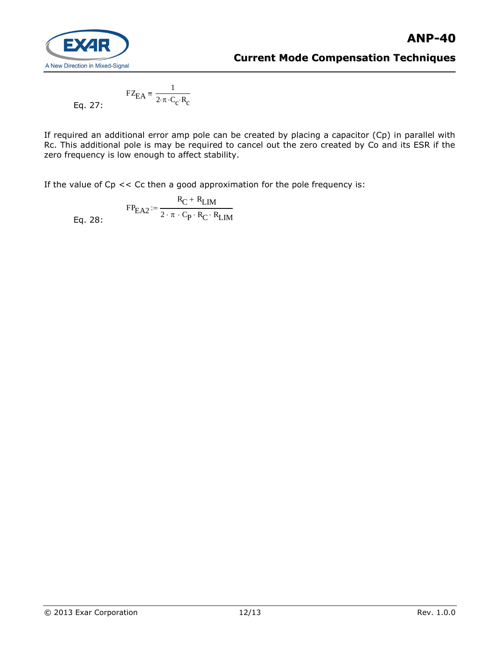

$$
FZ_{EA} = \frac{1}{2 \cdot \pi \cdot C_c \cdot R_c}
$$

If required an additional error amp pole can be created by placing a capacitor (Cp) in parallel with Rc. This additional pole is may be required to cancel out the zero created by Co and its ESR if the zero frequency is low enough to affect stability.

If the value of  $Cp \ll Cc$  then a good approximation for the pole frequency is:

Eq. 28:  $FP_{\text{EA2}} := \frac{R_{\text{C}} + R_{\text{LIM}}}{2 \cdot \pi \cdot \text{C} \cdot R_{\text{av}} R_{\text{av}}}$  $2 \cdot \pi \cdot C_P \cdot R_C \cdot R_L$ IM  $:=$